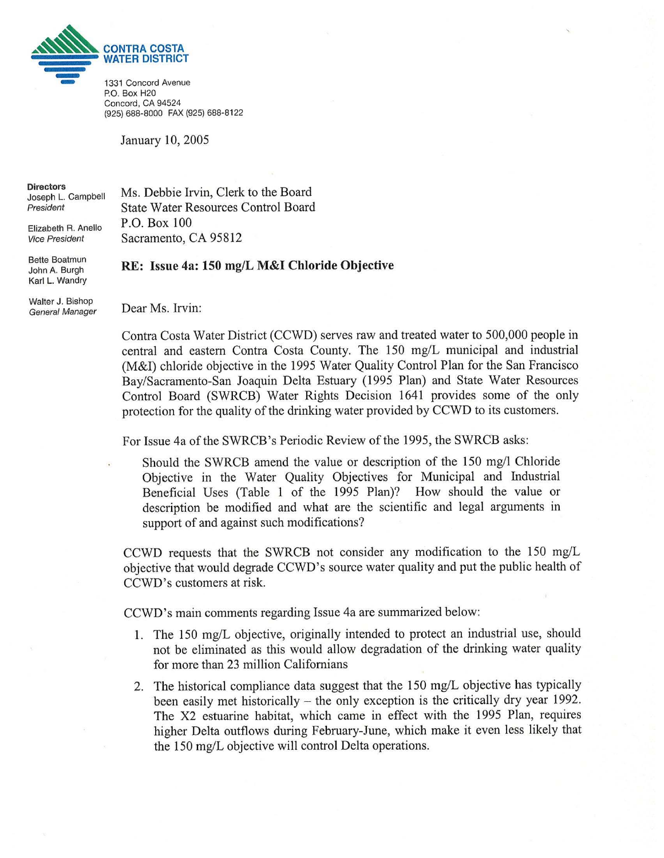

Concord, CA 94524 (925) 688-8000 FAX (925) 688-8122

January 10, 2005

**Directors** Joseph L. Campbell President

Elizabeth R. Anello **Vice President** 

**Bette Boatmun** John A. Burgh Karl L. Wandry **State Water Resources Control Board** P.O. Box 100 Sacramento, CA 95812

Ms. Debbie Irvin, Clerk to the Board

RE: Issue 4a: 150 mg/L M&I Chloride Objective

Walter J. Bishop **General Manager** 

Dear Ms. Irvin:

Contra Costa Water District (CCWD) serves raw and treated water to 500,000 people in central and eastern Contra Costa County. The 150 mg/L municipal and industrial (M&I) chloride objective in the 1995 Water Quality Control Plan for the San Francisco Bay/Sacramento-San Joaquin Delta Estuary (1995 Plan) and State Water Resources Control Board (SWRCB) Water Rights Decision 1641 provides some of the only protection for the quality of the drinking water provided by CCWD to its customers.

For Issue 4a of the SWRCB's Periodic Review of the 1995, the SWRCB asks:

Should the SWRCB amend the value or description of the 150 mg/l Chloride Objective in the Water Quality Objectives for Municipal and Industrial Beneficial Uses (Table 1 of the 1995 Plan)? How should the value or description be modified and what are the scientific and legal arguments in support of and against such modifications?

CCWD requests that the SWRCB not consider any modification to the 150 mg/L objective that would degrade CCWD's source water quality and put the public health of CCWD's customers at risk.

CCWD's main comments regarding Issue 4a are summarized below:

- 1. The 150 mg/L objective, originally intended to protect an industrial use, should not be eliminated as this would allow degradation of the drinking water quality for more than 23 million Californians
- 2. The historical compliance data suggest that the 150 mg/L objective has typically been easily met historically  $-$  the only exception is the critically dry year 1992. The X2 estuarine habitat, which came in effect with the 1995 Plan, requires higher Delta outflows during February-June, which make it even less likely that the 150 mg/L objective will control Delta operations.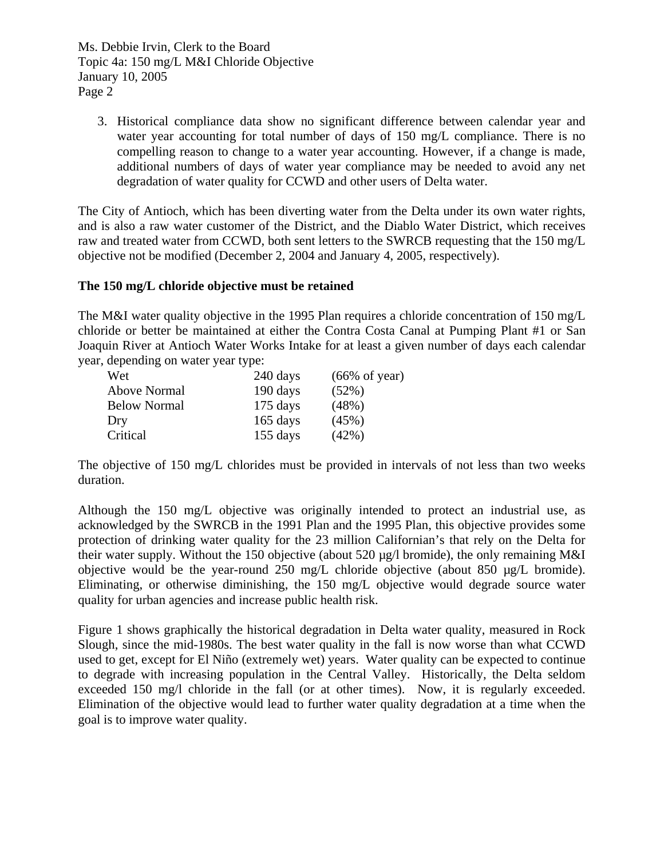3. Historical compliance data show no significant difference between calendar year and water year accounting for total number of days of 150 mg/L compliance. There is no compelling reason to change to a water year accounting. However, if a change is made, additional numbers of days of water year compliance may be needed to avoid any net degradation of water quality for CCWD and other users of Delta water.

The City of Antioch, which has been diverting water from the Delta under its own water rights, and is also a raw water customer of the District, and the Diablo Water District, which receives raw and treated water from CCWD, both sent letters to the SWRCB requesting that the 150 mg/L objective not be modified (December 2, 2004 and January 4, 2005, respectively).

### **The 150 mg/L chloride objective must be retained**

The M&I water quality objective in the 1995 Plan requires a chloride concentration of 150 mg/L chloride or better be maintained at either the Contra Costa Canal at Pumping Plant #1 or San Joaquin River at Antioch Water Works Intake for at least a given number of days each calendar year, depending on water year type:

| Wet                 | 240 days   | $(66\% \text{ of year})$ |
|---------------------|------------|--------------------------|
| Above Normal        | 190 days   | (52%)                    |
| <b>Below Normal</b> | $175$ days | (48%)                    |
| Dry                 | $165$ days | (45%)                    |
| Critical            | $155$ days | (42%)                    |

The objective of 150 mg/L chlorides must be provided in intervals of not less than two weeks duration.

Although the 150 mg/L objective was originally intended to protect an industrial use, as acknowledged by the SWRCB in the 1991 Plan and the 1995 Plan, this objective provides some protection of drinking water quality for the 23 million Californian's that rely on the Delta for their water supply. Without the 150 objective (about 520 µg/l bromide), the only remaining M&I objective would be the year-round 250 mg/L chloride objective (about 850 µg/L bromide). Eliminating, or otherwise diminishing, the 150 mg/L objective would degrade source water quality for urban agencies and increase public health risk.

Figure 1 shows graphically the historical degradation in Delta water quality, measured in Rock Slough, since the mid-1980s. The best water quality in the fall is now worse than what CCWD used to get, except for El Niño (extremely wet) years. Water quality can be expected to continue to degrade with increasing population in the Central Valley. Historically, the Delta seldom exceeded 150 mg/l chloride in the fall (or at other times). Now, it is regularly exceeded. Elimination of the objective would lead to further water quality degradation at a time when the goal is to improve water quality.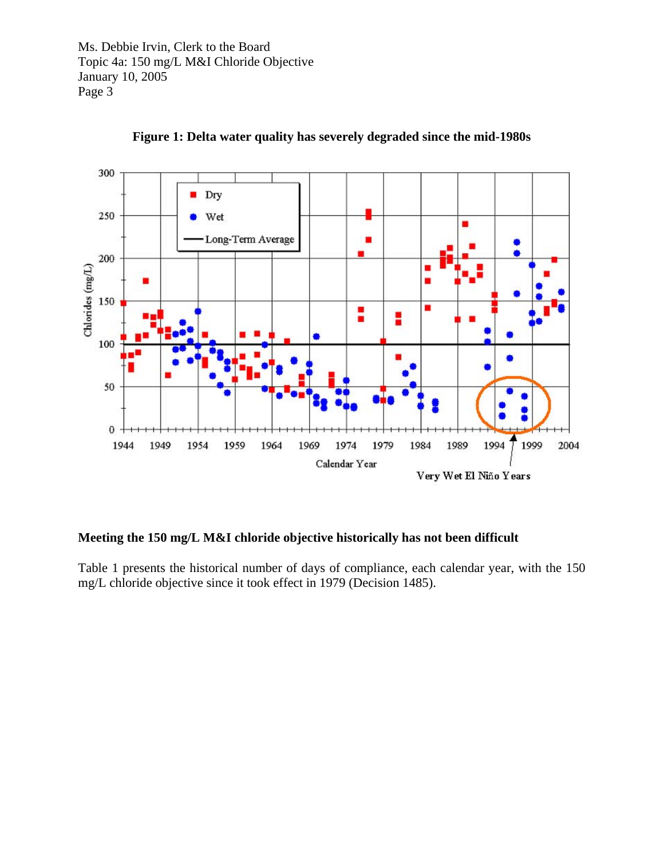

**Figure 1: Delta water quality has severely degraded since the mid-1980s** 

## **Meeting the 150 mg/L M&I chloride objective historically has not been difficult**

Table 1 presents the historical number of days of compliance, each calendar year, with the 150 mg/L chloride objective since it took effect in 1979 (Decision 1485).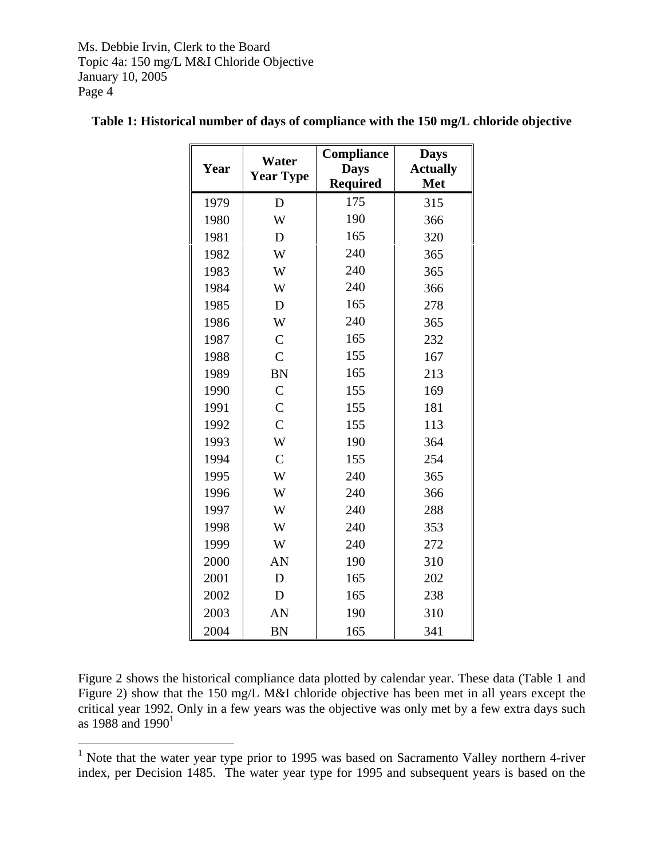| Year | Water<br><b>Year Type</b> | Compliance<br><b>Days</b><br><b>Required</b> | <b>Days</b><br><b>Actually</b><br><b>Met</b> |  |
|------|---------------------------|----------------------------------------------|----------------------------------------------|--|
| 1979 | D                         | 175                                          | 315                                          |  |
| 1980 | W                         | 190                                          | 366                                          |  |
| 1981 | D                         | 165                                          | 320                                          |  |
| 1982 | W                         | 240                                          | 365                                          |  |
| 1983 | W                         | 240                                          | 365                                          |  |
| 1984 | W                         | 240                                          | 366                                          |  |
| 1985 | D                         | 165                                          | 278                                          |  |
| 1986 | W                         | 240                                          | 365                                          |  |
| 1987 | $\mathcal{C}$             | 165                                          | 232                                          |  |
| 1988 | $\overline{C}$            | 155                                          | 167                                          |  |
| 1989 | <b>BN</b>                 | 165                                          | 213                                          |  |
| 1990 | $\mathcal{C}$             | 155                                          | 169                                          |  |
| 1991 | $\overline{C}$            | 155                                          | 181                                          |  |
| 1992 | $\overline{C}$            | 155                                          | 113                                          |  |
| 1993 | W                         | 190                                          | 364                                          |  |
| 1994 | $\mathcal{C}$             | 155                                          | 254                                          |  |
| 1995 | W                         | 240                                          | 365                                          |  |
| 1996 | W                         | 240                                          | 366                                          |  |
| 1997 | W                         | 240                                          | 288                                          |  |
| 1998 | W                         | 240                                          | 353                                          |  |
| 1999 | W                         | 240                                          | 272                                          |  |
| 2000 | AN                        | 190                                          | 310                                          |  |
| 2001 | D                         | 165                                          | 202                                          |  |
| 2002 | D                         | 165                                          | 238                                          |  |
| 2003 | AN                        | 190                                          | 310                                          |  |
| 2004 | <b>BN</b>                 | 165                                          | 341                                          |  |

# **Table 1: Historical number of days of compliance with the 150 mg/L chloride objective**

Figure 2 shows the historical compliance data plotted by calendar year. These data (Table 1 and Figure 2) show that the 150 mg/L M&I chloride objective has been met in all years except the critical year 1992. Only in a few years was the objective was only met by a few extra days such as [1](#page-3-0)988 and  $1990<sup>1</sup>$ 

<span id="page-3-0"></span><sup>&</sup>lt;sup>1</sup> Note that the water year type prior to 1995 was based on Sacramento Valley northern 4-river index, per Decision 1485. The water year type for 1995 and subsequent years is based on the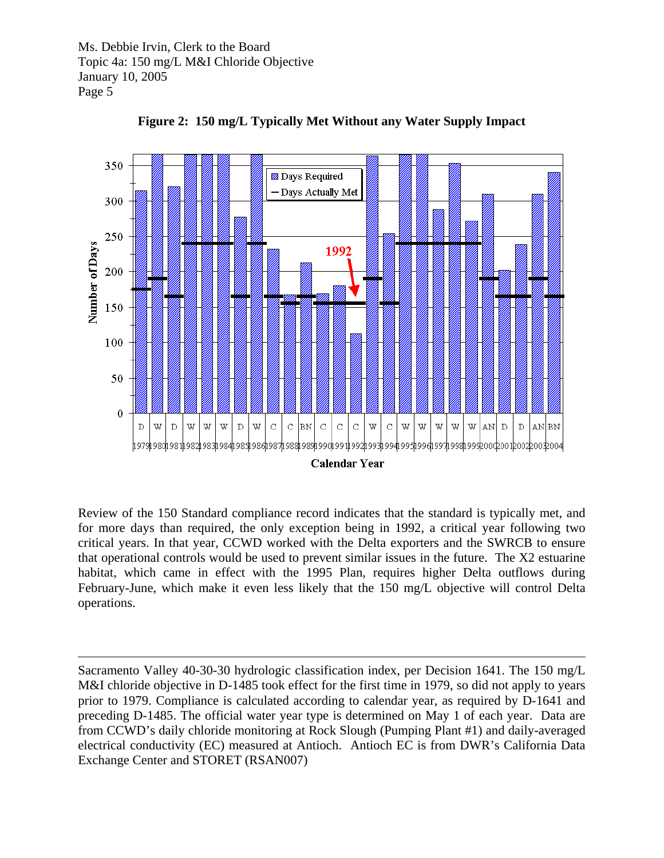1



**Figure 2: 150 mg/L Typically Met Without any Water Supply Impact** 

Review of the 150 Standard compliance record indicates that the standard is typically met, and for more days than required, the only exception being in 1992, a critical year following two critical years. In that year, CCWD worked with the Delta exporters and the SWRCB to ensure that operational controls would be used to prevent similar issues in the future. The X2 estuarine habitat, which came in effect with the 1995 Plan, requires higher Delta outflows during February-June, which make it even less likely that the 150 mg/L objective will control Delta operations.

Sacramento Valley 40-30-30 hydrologic classification index, per Decision 1641. The 150 mg/L M&I chloride objective in D-1485 took effect for the first time in 1979, so did not apply to years prior to 1979. Compliance is calculated according to calendar year, as required by D-1641 and preceding D-1485. The official water year type is determined on May 1 of each year. Data are from CCWD's daily chloride monitoring at Rock Slough (Pumping Plant #1) and daily-averaged electrical conductivity (EC) measured at Antioch. Antioch EC is from DWR's California Data Exchange Center and STORET (RSAN007)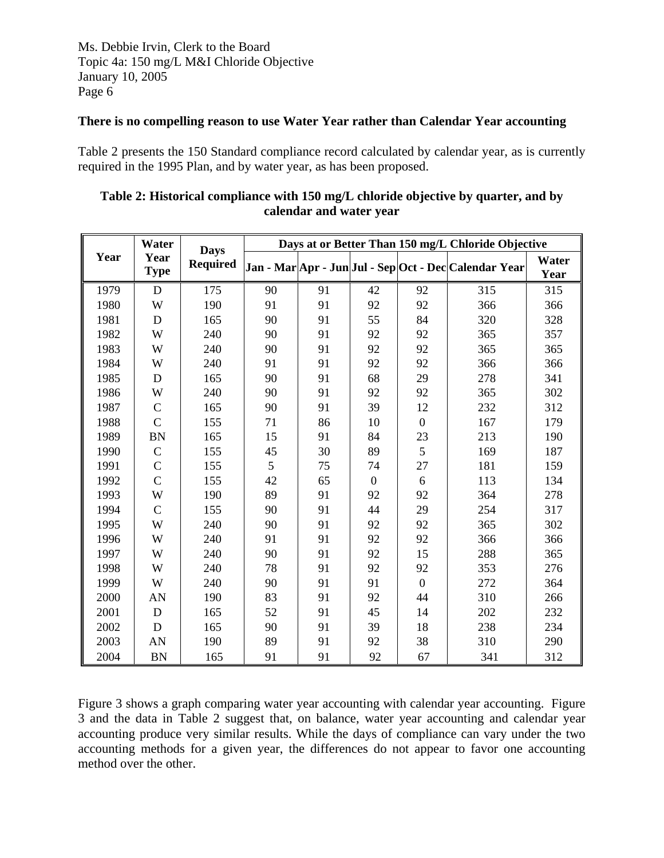#### **There is no compelling reason to use Water Year rather than Calendar Year accounting**

Table 2 presents the 150 Standard compliance record calculated by calendar year, as is currently required in the 1995 Plan, and by water year, as has been proposed.

|      | Water               |                                | Days at or Better Than 150 mg/L Chloride Objective |    |                |                  |                                                       |               |
|------|---------------------|--------------------------------|----------------------------------------------------|----|----------------|------------------|-------------------------------------------------------|---------------|
| Year | Year<br><b>Type</b> | <b>Days</b><br><b>Required</b> |                                                    |    |                |                  | Jan - Mar Apr - Jun Jul - Sep Oct - Dec Calendar Year | Water<br>Year |
| 1979 | D                   | 175                            | 90                                                 | 91 | 42             | 92               | 315                                                   | 315           |
| 1980 | W                   | 190                            | 91                                                 | 91 | 92             | 92               | 366                                                   | 366           |
| 1981 | D                   | 165                            | 90                                                 | 91 | 55             | 84               | 320                                                   | 328           |
| 1982 | W                   | 240                            | 90                                                 | 91 | 92             | 92               | 365                                                   | 357           |
| 1983 | W                   | 240                            | 90                                                 | 91 | 92             | 92               | 365                                                   | 365           |
| 1984 | W                   | 240                            | 91                                                 | 91 | 92             | 92               | 366                                                   | 366           |
| 1985 | D                   | 165                            | 90                                                 | 91 | 68             | 29               | 278                                                   | 341           |
| 1986 | W                   | 240                            | 90                                                 | 91 | 92             | 92               | 365                                                   | 302           |
| 1987 | $\mathcal{C}$       | 165                            | 90                                                 | 91 | 39             | 12               | 232                                                   | 312           |
| 1988 | $\overline{C}$      | 155                            | 71                                                 | 86 | 10             | $\overline{0}$   | 167                                                   | 179           |
| 1989 | <b>BN</b>           | 165                            | 15                                                 | 91 | 84             | 23               | 213                                                   | 190           |
| 1990 | $\mathcal{C}$       | 155                            | 45                                                 | 30 | 89             | 5                | 169                                                   | 187           |
| 1991 | $\overline{C}$      | 155                            | 5                                                  | 75 | 74             | 27               | 181                                                   | 159           |
| 1992 | $\overline{C}$      | 155                            | 42                                                 | 65 | $\overline{0}$ | 6                | 113                                                   | 134           |
| 1993 | W                   | 190                            | 89                                                 | 91 | 92             | 92               | 364                                                   | 278           |
| 1994 | $\overline{C}$      | 155                            | 90                                                 | 91 | 44             | 29               | 254                                                   | 317           |
| 1995 | W                   | 240                            | 90                                                 | 91 | 92             | 92               | 365                                                   | 302           |
| 1996 | W                   | 240                            | 91                                                 | 91 | 92             | 92               | 366                                                   | 366           |
| 1997 | W                   | 240                            | 90                                                 | 91 | 92             | 15               | 288                                                   | 365           |
| 1998 | W                   | 240                            | 78                                                 | 91 | 92             | 92               | 353                                                   | 276           |
| 1999 | W                   | 240                            | 90                                                 | 91 | 91             | $\boldsymbol{0}$ | 272                                                   | 364           |
| 2000 | AN                  | 190                            | 83                                                 | 91 | 92             | 44               | 310                                                   | 266           |
| 2001 | $\mathbf D$         | 165                            | 52                                                 | 91 | 45             | 14               | 202                                                   | 232           |
| 2002 | D                   | 165                            | 90                                                 | 91 | 39             | 18               | 238                                                   | 234           |
| 2003 | AN                  | 190                            | 89                                                 | 91 | 92             | 38               | 310                                                   | 290           |
| 2004 | <b>BN</b>           | 165                            | 91                                                 | 91 | 92             | 67               | 341                                                   | 312           |

## **Table 2: Historical compliance with 150 mg/L chloride objective by quarter, and by calendar and water year**

Figure 3 shows a graph comparing water year accounting with calendar year accounting. Figure 3 and the data in Table 2 suggest that, on balance, water year accounting and calendar year accounting produce very similar results. While the days of compliance can vary under the two accounting methods for a given year, the differences do not appear to favor one accounting method over the other.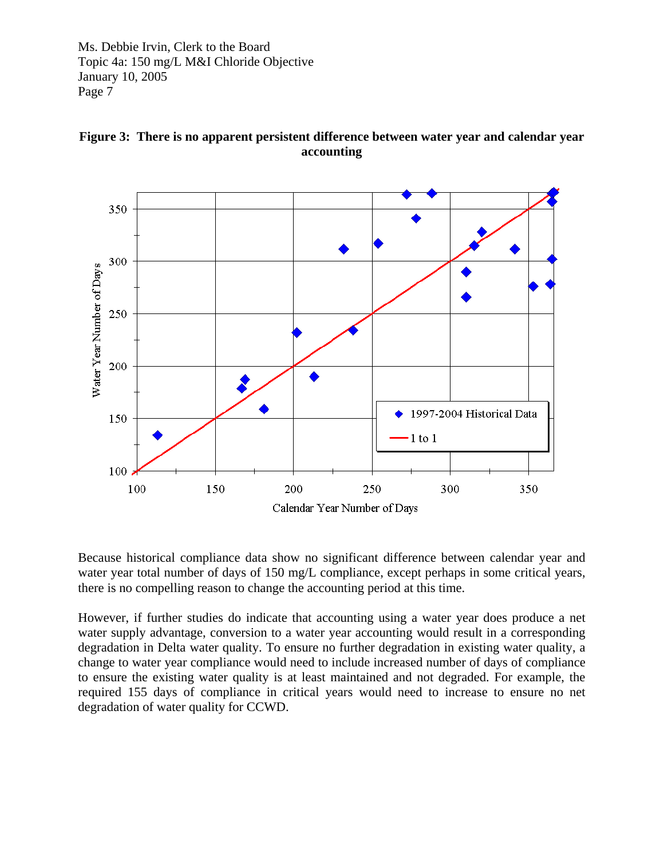



Because historical compliance data show no significant difference between calendar year and water year total number of days of 150 mg/L compliance, except perhaps in some critical years, there is no compelling reason to change the accounting period at this time.

However, if further studies do indicate that accounting using a water year does produce a net water supply advantage, conversion to a water year accounting would result in a corresponding degradation in Delta water quality. To ensure no further degradation in existing water quality, a change to water year compliance would need to include increased number of days of compliance to ensure the existing water quality is at least maintained and not degraded. For example, the required 155 days of compliance in critical years would need to increase to ensure no net degradation of water quality for CCWD.